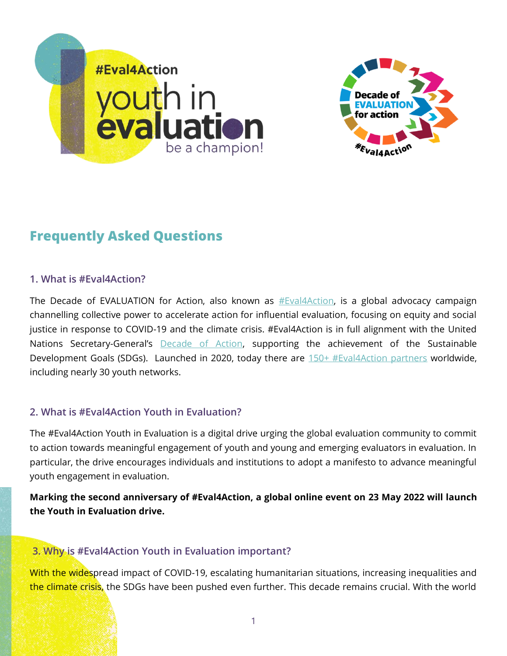



# **Frequently Asked Questions**

#### **1. What is #Eval4Action?**

The Decade of EVALUATION for Action, also known as  $#Eval4Action$ , is a global advocacy campaign channelling collective power to accelerate action for influential evaluation, focusing on equity and social justice in response to COVID-19 and the climate crisis. #Eval4Action is in full alignment with the United Nations Secretary-General's [Decade of Action,](https://www.un.org/sustainabledevelopment/decade-of-action/) supporting the achievement of the Sustainable Development Goals (SDGs). Launched in 2020, today there are [150+ #Eval4Action partners](https://www.eval4action.org/partners) worldwide, including nearly 30 youth networks.

#### **2. What is #Eval4Action Youth in Evaluation?**

The #Eval4Action Youth in Evaluation is a digital drive urging the global evaluation community to commit to action towards meaningful engagement of youth and young and emerging evaluators in evaluation. In particular, the drive encourages individuals and institutions to adopt a manifesto to advance meaningful youth engagement in evaluation.

**Marking the second anniversary of #Eval4Action, a global online event on 23 May 2022 will launch the Youth in Evaluation drive.**

## **3. Why is #Eval4Action Youth in Evaluation important?**

With the widespread impact of COVID-19, escalating humanitarian situations, increasing inequalities and the climate crisis, the SDGs have been pushed even further. This decade remains crucial. With the world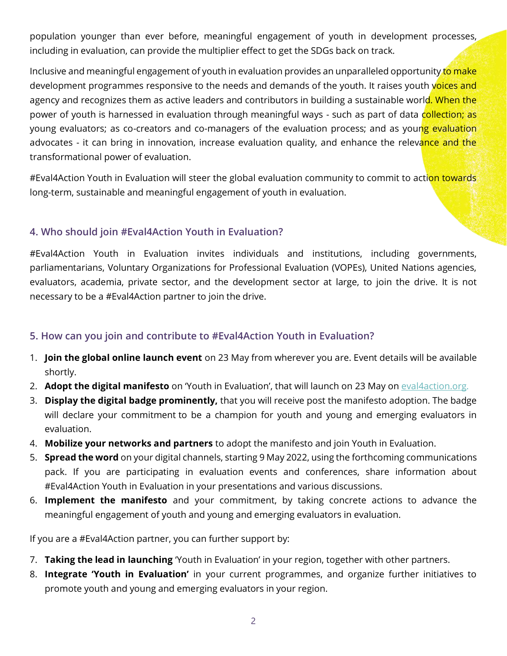population younger than ever before, meaningful engagement of youth in development processes, including in evaluation, can provide the multiplier effect to get the SDGs back on track.

Inclusive and meaningful engagement of youth in evaluation provides an unparalleled opportunity to make development programmes responsive to the needs and demands of the youth. It raises youth voices and agency and recognizes them as active leaders and contributors in building a sustainable world. When the power of youth is harnessed in evaluation through meaningful ways - such as part of data collection; as young evaluators; as co-creators and co-managers of the evaluation process; and as young evaluation advocates - it can bring in innovation, increase evaluation quality, and enhance the relevance and the transformational power of evaluation.

#Eval4Action Youth in Evaluation will steer the global evaluation community to commit to action towards long-term, sustainable and meaningful engagement of youth in evaluation.

## **4. Who should join #Eval4Action Youth in Evaluation?**

#Eval4Action Youth in Evaluation invites individuals and institutions, including governments, parliamentarians, Voluntary Organizations for Professional Evaluation (VOPEs), United Nations agencies, evaluators, academia, private sector, and the development sector at large, to join the drive. It is not necessary to be a #Eval4Action partner to join the drive.

### **5. How can you join and contribute to #Eval4Action Youth in Evaluation?**

- 1. **Join the global online launch event** on 23 May from wherever you are. Event details will be available shortly.
- 2. **Adopt the digital manifesto** on 'Youth in Evaluation', that will launch on 23 May on [eval4action.org.](https://www.eval4action.org/partners)
- 3. **Display the digital badge prominently,** that you will receive post the manifesto adoption. The badge will declare your commitment to be a champion for youth and young and emerging evaluators in evaluation.
- 4. **Mobilize your networks and partners** to adopt the manifesto and join Youth in Evaluation.
- 5. **Spread the word** on your digital channels, starting 9 May 2022, using the forthcoming communications pack. If you are participating in evaluation events and conferences, share information about #Eval4Action Youth in Evaluation in your presentations and various discussions.
- 6. **Implement the manifesto** and your commitment, by taking concrete actions to advance the meaningful engagement of youth and young and emerging evaluators in evaluation.

If you are a #Eval4Action partner, you can further support by:

- 7. **Taking the lead in launching** 'Youth in Evaluation' in your region, together with other partners.
- 8. **Integrate 'Youth in Evaluation'** in your current programmes, and organize further initiatives to promote youth and young and emerging evaluators in your region.